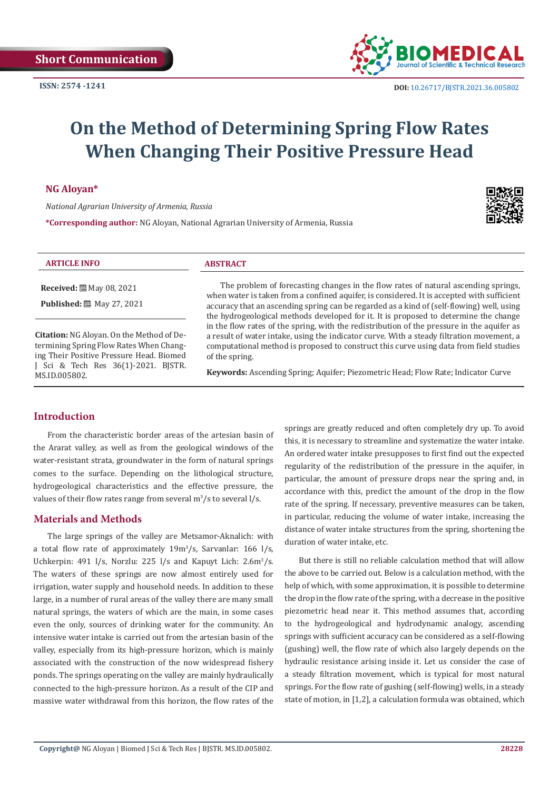

# **On the Method of Determining Spring Flow Rates When Changing Their Positive Pressure Head**

**NG Aloyan\***

*National Agrarian University of Armenia, Russia*

**\*Corresponding author:** NG Aloyan, National Agrarian University of Armenia, Russia



| <b>ARTICLE INFO</b>                                                                                                                                                                      | <b>ABSTRACT</b>                                                                                                                                                                                                                                                                                                                                                                                                                                                                                                                                                                                                                                                                                                                                                   |
|------------------------------------------------------------------------------------------------------------------------------------------------------------------------------------------|-------------------------------------------------------------------------------------------------------------------------------------------------------------------------------------------------------------------------------------------------------------------------------------------------------------------------------------------------------------------------------------------------------------------------------------------------------------------------------------------------------------------------------------------------------------------------------------------------------------------------------------------------------------------------------------------------------------------------------------------------------------------|
| <b>Received:</b> [2010] May 08, 2021<br><b>Published:</b> [89] May 27, 2021                                                                                                              | The problem of forecasting changes in the flow rates of natural ascending springs,<br>when water is taken from a confined aquifer, is considered. It is accepted with sufficient<br>accuracy that an ascending spring can be regarded as a kind of (self-flowing) well, using<br>the hydrogeological methods developed for it. It is proposed to determine the change<br>in the flow rates of the spring, with the redistribution of the pressure in the aquifer as<br>a result of water intake, using the indicator curve. With a steady filtration movement, a<br>computational method is proposed to construct this curve using data from field studies<br>of the spring.<br>Keywords: Ascending Spring; Aquifer; Piezometric Head; Flow Rate; Indicator Curve |
| Citation: NG Aloyan. On the Method of De-<br>termining Spring Flow Rates When Chang-<br>ing Their Positive Pressure Head. Biomed<br>J Sci & Tech Res 36(1)-2021. BJSTR.<br>MS.ID.005802. |                                                                                                                                                                                                                                                                                                                                                                                                                                                                                                                                                                                                                                                                                                                                                                   |

## **Introduction**

 $\overline{a}$ 

From the characteristic border areas of the artesian basin of the Ararat valley, as well as from the geological windows of the water-resistant strata, groundwater in the form of natural springs comes to the surface. Depending on the lithological structure, hydrogeological characteristics and the effective pressure, the values of their flow rates range from several  $\mathrm{m}^3/\mathrm{s}$  to several l/s.

### **Materials and Methods**

The large springs of the valley are Metsamor-Aknalich: with a total flow rate of approximately 19m<sup>3</sup> /s, Sarvanlar: 166 l/s, Uchkerpin: 491 l/s, Norzlu: 225 l/s and Kapuyt Lich: 2.6m<sup>3</sup>/s. The waters of these springs are now almost entirely used for irrigation, water supply and household needs. In addition to these large, in a number of rural areas of the valley there are many small natural springs, the waters of which are the main, in some cases even the only, sources of drinking water for the community. An intensive water intake is carried out from the artesian basin of the valley, especially from its high-pressure horizon, which is mainly associated with the construction of the now widespread fishery ponds. The springs operating on the valley are mainly hydraulically connected to the high-pressure horizon. As a result of the CIP and massive water withdrawal from this horizon, the flow rates of the

springs are greatly reduced and often completely dry up. To avoid this, it is necessary to streamline and systematize the water intake. An ordered water intake presupposes to first find out the expected regularity of the redistribution of the pressure in the aquifer, in particular, the amount of pressure drops near the spring and, in accordance with this, predict the amount of the drop in the flow rate of the spring. If necessary, preventive measures can be taken, in particular, reducing the volume of water intake, increasing the distance of water intake structures from the spring, shortening the duration of water intake, etc.

But there is still no reliable calculation method that will allow the above to be carried out. Below is a calculation method, with the help of which, with some approximation, it is possible to determine the drop in the flow rate of the spring, with a decrease in the positive piezometric head near it. This method assumes that, according to the hydrogeological and hydrodynamic analogy, ascending springs with sufficient accuracy can be considered as a self-flowing (gushing) well, the flow rate of which also largely depends on the hydraulic resistance arising inside it. Let us consider the case of a steady filtration movement, which is typical for most natural springs. For the flow rate of gushing (self-flowing) wells, in a steady state of motion, in [1,2], a calculation formula was obtained, which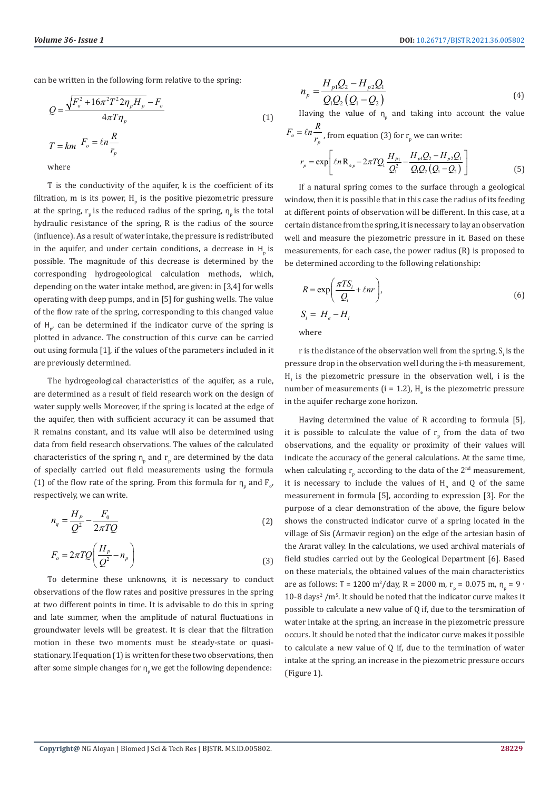can be written in the following form relative to the spring:

$$
Q = \frac{\sqrt{F_o^2 + 16\pi^2 T^2 2\eta_p H_p} - F_o}{4\pi T \eta_p}
$$
  

$$
T = km \quad F_o = \ln \frac{R}{r_p}
$$
 (1)

where

T is the conductivity of the aquifer, k is the coefficient of its filtration,  $m$  is its power,  $H_p$  is the positive piezometric pressure at the spring,  $r_{p}$  is the reduced radius of the spring,  $\eta_{p}$  is the total hydraulic resistance of the spring, R is the radius of the source (influence). As a result of water intake, the pressure is redistributed in the aquifer, and under certain conditions, a decrease in  $H<sub>n</sub>$  is possible. The magnitude of this decrease is determined by the corresponding hydrogeological calculation methods, which, depending on the water intake method, are given: in [3,4] for wells operating with deep pumps, and in [5] for gushing wells. The value of the flow rate of the spring, corresponding to this changed value of  $H_{p'}$  can be determined if the indicator curve of the spring is plotted in advance. The construction of this curve can be carried out using formula [1], if the values of the parameters included in it are previously determined.

The hydrogeological characteristics of the aquifer, as a rule, are determined as a result of field research work on the design of water supply wells Moreover, if the spring is located at the edge of the aquifer, then with sufficient accuracy it can be assumed that R remains constant, and its value will also be determined using data from field research observations. The values of the calculated characteristics of the spring  $n_{p}$  and  $r_{p}$  are determined by the data of specially carried out field measurements using the formula (1) of the flow rate of the spring. From this formula for  $n_{p}$  and  $F_{o'}$ , respectively, we can write.

$$
n_q = \frac{H_P}{Q^2} - \frac{F_0}{2\pi T Q} \tag{2}
$$

$$
F_o = 2\pi T Q \left(\frac{H_p}{Q^2} - n_p\right)
$$
\n(3)

To determine these unknowns, it is necessary to conduct observations of the flow rates and positive pressures in the spring at two different points in time. It is advisable to do this in spring and late summer, when the amplitude of natural fluctuations in groundwater levels will be greatest. It is clear that the filtration motion in these two moments must be steady-state or quasistationary. If equation (1) is written for these two observations, then after some simple changes for  $\eta_{\mu}$  we get the following dependence:

$$
n_{p} = \frac{H_{p1}Q_{2} - H_{p2}Q_{1}}{Q_{1}Q_{2}(Q_{1} - Q_{2})}
$$
\n(4)

Having the value of  $n_p$  and taking into account the value

$$
F_o = \ln \frac{R}{r_p}, \text{ from equation (3) for } r_p \text{ we can write:}
$$
\n
$$
r_p = \exp \left[ \ln \mathbf{R}_{ep} - 2\pi T Q_1 \frac{H_{p_1}}{Q_1^2} - \frac{H_{p_1} Q_2 - H_{p_2} Q_1}{Q_1 Q_2 (Q_1 - Q_2)} \right] \tag{5}
$$

If a natural spring comes to the surface through a geological window, then it is possible that in this case the radius of its feeding at different points of observation will be different. In this case, at a certain distance from the spring, it is necessary to lay an observation well and measure the piezometric pressure in it. Based on these measurements, for each case, the power radius (R) is proposed to be determined according to the following relationship:

$$
R = \exp\left(\frac{\pi TS_i}{Q_i} + \ell nr\right),
$$
  
\n
$$
S_i = H_e - H_i
$$
  
\nwhere

where

r is the distance of the observation well from the spring,  $S_i$  is the pressure drop in the observation well during the i-th measurement,  $H<sub>i</sub>$  is the piezometric pressure in the observation well, i is the number of measurements ( $i = 1.2$ ),  $H_e$  is the piezometric pressure in the aquifer recharge zone horizon.

Having determined the value of R according to formula [5], it is possible to calculate the value of  $r_p$  from the data of two observations, and the equality or proximity of their values will indicate the accuracy of the general calculations. At the same time, when calculating  $r_{p}$  according to the data of the  $2^{nd}$  measurement, it is necessary to include the values of  $H_{p}$  and Q of the same measurement in formula [5], according to expression [3]. For the purpose of a clear demonstration of the above, the figure below shows the constructed indicator curve of a spring located in the village of Sis (Armavir region) on the edge of the artesian basin of the Ararat valley. In the calculations, we used archival materials of field studies carried out by the Geological Department [6]. Based on these materials, the obtained values of the main characteristics are as follows: T = 1200 m<sup>2</sup>/day, R = 2000 m, r<sub>p</sub> = 0.075 m,  $n_p = 9 \cdot$  $10-8$  days<sup>2</sup> /m<sup>5</sup>. It should be noted that the indicator curve makes it possible to calculate a new value of Q if, due to the tersmination of water intake at the spring, an increase in the piezometric pressure occurs. It should be noted that the indicator curve makes it possible to calculate a new value of Q if, due to the termination of water intake at the spring, an increase in the piezometric pressure occurs (Figure 1).